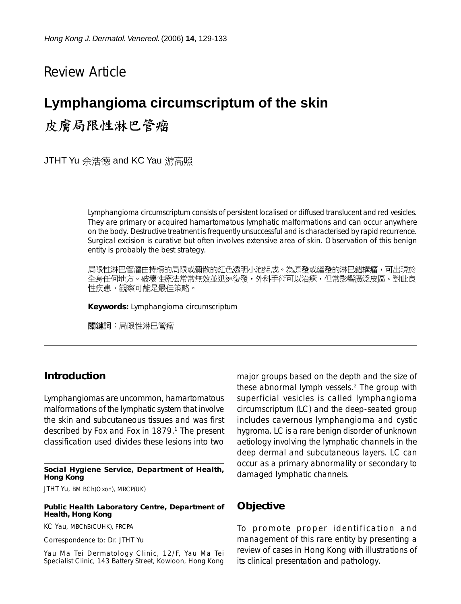## Review Article

# **Lymphangioma circumscriptum of the skin** 皮膚局限性淋巴管瘤

JTHT Yu 余浩德 and KC Yau 游高照

Lymphangioma circumscriptum consists of persistent localised or diffused translucent and red vesicles. They are primary or acquired hamartomatous lymphatic malformations and can occur anywhere on the body. Destructive treatment is frequently unsuccessful and is characterised by rapid recurrence. Surgical excision is curative but often involves extensive area of skin. Observation of this benign entity is probably the best strategy.

局限性淋巴管瘤由持續的局限或彌散的紅色透明小泡組成。為原發或繼發的淋巴錯構瘤,可出現於 全身任何地方。破壞性療法常常無效並迅速復發,外科手術可以治癒,但常影響廣泛皮區。對此良 性疾患,觀察可能是最佳策略。

**Keywords:** Lymphangioma circumscriptum

關鍵詞:局限性淋巴管瘤

#### **Introduction**

Lymphangiomas are uncommon, hamartomatous malformations of the lymphatic system that involve the skin and subcutaneous tissues and was first described by Fox and Fox in 1879.<sup>1</sup> The present classification used divides these lesions into two

#### **Social Hygiene Service, Department of Health, Hong Kong**

JTHT Yu, BM BCh(Oxon), MRCP(UK)

#### **Public Health Laboratory Centre, Department of Health, Hong Kong**

KC Yau, MBChB(CUHK), FRCPA

Correspondence to: Dr. JTHT Yu

Yau Ma Tei Dermatology Clinic, 12/F, Yau Ma Tei Specialist Clinic, 143 Battery Street, Kowloon, Hong Kong major groups based on the depth and the size of these abnormal lymph vessels.2 The group with superficial vesicles is called lymphangioma circumscriptum (LC) and the deep-seated group includes cavernous lymphangioma and cystic hygroma. LC is a rare benign disorder of unknown aetiology involving the lymphatic channels in the deep dermal and subcutaneous layers. LC can occur as a primary abnormality or secondary to damaged lymphatic channels.

#### **Objective**

To promote proper identification and management of this rare entity by presenting a review of cases in Hong Kong with illustrations of its clinical presentation and pathology.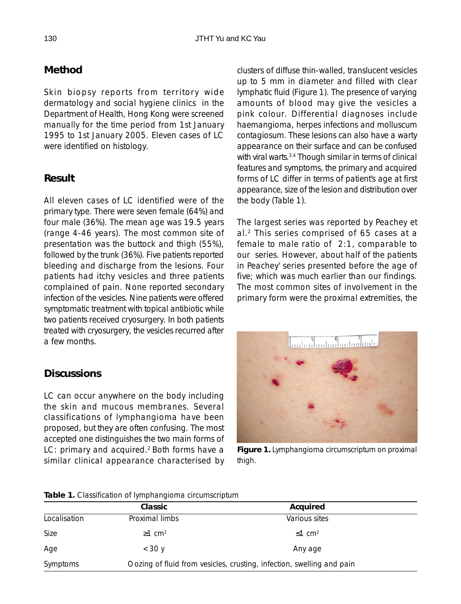#### **Method**

Skin biopsy reports from territory wide dermatology and social hygiene clinics in the Department of Health, Hong Kong were screened manually for the time period from 1st January 1995 to 1st January 2005. Eleven cases of LC were identified on histology.

#### **Result**

All eleven cases of LC identified were of the primary type. There were seven female (64%) and four male (36%). The mean age was 19.5 years (range 4-46 years). The most common site of presentation was the buttock and thigh (55%), followed by the trunk (36%). Five patients reported bleeding and discharge from the lesions. Four patients had itchy vesicles and three patients complained of pain. None reported secondary infection of the vesicles. Nine patients were offered symptomatic treatment with topical antibiotic while two patients received cryosurgery. In both patients treated with cryosurgery, the vesicles recurred after a few months.

#### **Discussions**

LC can occur anywhere on the body including the skin and mucous membranes. Several classifications of lymphangioma have been proposed, but they are often confusing. The most accepted one distinguishes the two main forms of LC: primary and acquired.<sup>2</sup> Both forms have a similar clinical appearance characterised by

clusters of diffuse thin-walled, translucent vesicles up to 5 mm in diameter and filled with clear lymphatic fluid (Figure 1). The presence of varying amounts of blood may give the vesicles a pink colour. Differential diagnoses include haemangioma, herpes infections and molluscum contagiosum. These lesions can also have a warty appearance on their surface and can be confused with viral warts.<sup>3.4</sup> Though similar in terms of clinical features and symptoms, the primary and acquired forms of LC differ in terms of patient's age at first appearance, size of the lesion and distribution over the body (Table 1).

The largest series was reported by Peachey et al.2 This series comprised of 65 cases at a female to male ratio of 2:1, comparable to our series. However, about half of the patients in Peachey' series presented before the age of five; which was much earlier than our findings. The most common sites of involvement in the primary form were the proximal extremities, the



**Figure 1.** Lymphangioma circumscriptum on proximal thigh.

| <b>Table 1.</b> Classification of lymphangionia circumscriptum |                                                                       |                          |  |
|----------------------------------------------------------------|-----------------------------------------------------------------------|--------------------------|--|
|                                                                | Classic                                                               | Acquired                 |  |
| Localisation                                                   | Proximal limbs                                                        | Various sites            |  |
| Size                                                           | $\geq$ 1 cm <sup>2</sup>                                              | $\leq$ 1 cm <sup>2</sup> |  |
| Age                                                            | $<$ 30 $\gamma$                                                       | Any age                  |  |
| Symptoms                                                       | Oozing of fluid from vesicles, crusting, infection, swelling and pain |                          |  |

#### **Table 1.** Classification of lymphangioma circumscriptum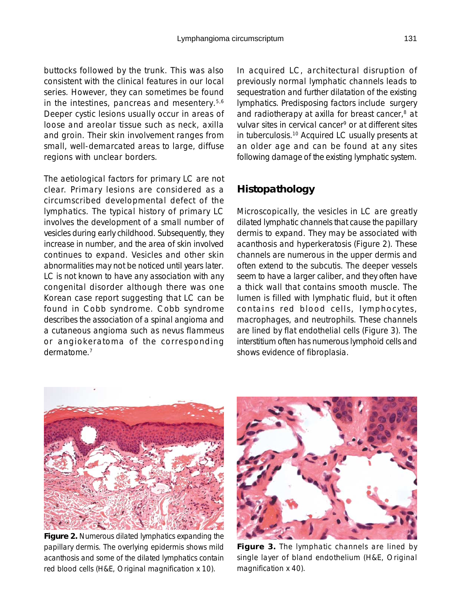buttocks followed by the trunk. This was also consistent with the clinical features in our local series. However, they can sometimes be found in the intestines, pancreas and mesentery.5,6 Deeper cystic lesions usually occur in areas of loose and areolar tissue such as neck, axilla and groin. Their skin involvement ranges from small, well-demarcated areas to large, diffuse regions with unclear borders.

The aetiological factors for primary LC are not clear. Primary lesions are considered as a circumscribed developmental defect of the lymphatics. The typical history of primary LC involves the development of a small number of vesicles during early childhood. Subsequently, they increase in number, and the area of skin involved continues to expand. Vesicles and other skin abnormalities may not be noticed until years later. LC is not known to have any association with any congenital disorder although there was one Korean case report suggesting that LC can be found in Cobb syndrome. Cobb syndrome describes the association of a spinal angioma and a cutaneous angioma such as nevus flammeus or angiokeratoma of the corresponding dermatome.7

In acquired LC, architectural disruption of previously normal lymphatic channels leads to sequestration and further dilatation of the existing lymphatics. Predisposing factors include surgery and radiotherapy at axilla for breast cancer,<sup>8</sup> at vulvar sites in cervical cancer<sup>9</sup> or at different sites in tuberculosis.10 Acquired LC usually presents at an older age and can be found at any sites following damage of the existing lymphatic system.

## **Histopathology**

Microscopically, the vesicles in LC are greatly dilated lymphatic channels that cause the papillary dermis to expand. They may be associated with acanthosis and hyperkeratosis (Figure 2). These channels are numerous in the upper dermis and often extend to the subcutis. The deeper vessels seem to have a larger caliber, and they often have a thick wall that contains smooth muscle. The lumen is filled with lymphatic fluid, but it often contains red blood cells, lymphocytes, macrophages, and neutrophils. These channels are lined by flat endothelial cells (Figure 3). The interstitium often has numerous lymphoid cells and shows evidence of fibroplasia.



**Figure 2.** Numerous dilated lymphatics expanding the papillary dermis. The overlying epidermis shows mild acanthosis and some of the dilated lymphatics contain red blood cells (H&E, Original magnification x 10).



**Figure 3.** The lymphatic channels are lined by single layer of bland endothelium (H&E, Original magnification x 40).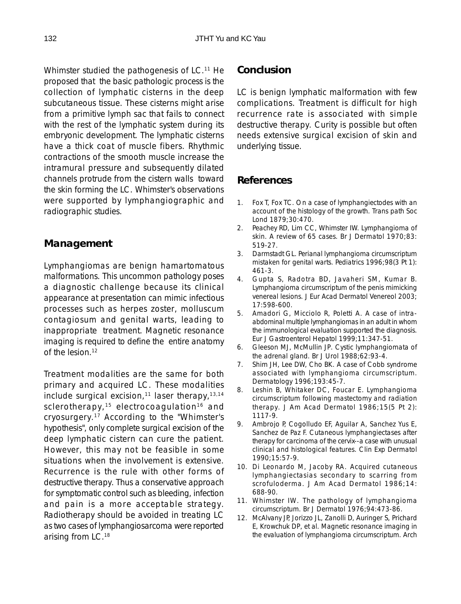Whimster studied the pathogenesis of LC.<sup>11</sup> He proposed that the basic pathologic process is the collection of lymphatic cisterns in the deep subcutaneous tissue. These cisterns might arise from a primitive lymph sac that fails to connect with the rest of the lymphatic system during its embryonic development. The lymphatic cisterns have a thick coat of muscle fibers. Rhythmic contractions of the smooth muscle increase the intramural pressure and subsequently dilated channels protrude from the cistern walls toward the skin forming the LC. Whimster's observations were supported by lymphangiographic and radiographic studies.

#### **Management**

Lymphangiomas are benign hamartomatous malformations. This uncommon pathology poses a diagnostic challenge because its clinical appearance at presentation can mimic infectious processes such as herpes zoster, molluscum contagiosum and genital warts, leading to inappropriate treatment. Magnetic resonance imaging is required to define the entire anatomy of the lesion.12

Treatment modalities are the same for both primary and acquired LC. These modalities include surgical excision,<sup>11</sup> laser therapy,  $13,14$ sclerotherapy,<sup>15</sup> electrocoagulation<sup>16</sup> and cryosurgery.17 According to the "Whimster's hypothesis", only complete surgical excision of the deep lymphatic cistern can cure the patient. However, this may not be feasible in some situations when the involvement is extensive. Recurrence is the rule with other forms of destructive therapy. Thus a conservative approach for symptomatic control such as bleeding, infection and pain is a more acceptable strategy. Radiotherapy should be avoided in treating LC as two cases of lymphangiosarcoma were reported arising from LC.18

## **Conclusion**

LC is benign lymphatic malformation with few complications. Treatment is difficult for high recurrence rate is associated with simple destructive therapy. Curity is possible but often needs extensive surgical excision of skin and underlying tissue.

#### **References**

- 1. Fox T, Fox TC. On a case of lymphangiectodes with an account of the histology of the growth. Trans path Soc Lond 1879;30:470.
- 2. Peachey RD, Lim CC, Whimster IW. Lymphangioma of skin. A review of 65 cases. Br J Dermatol 1970;83: 519-27.
- 3. Darmstadt GL. Perianal lymphangioma circumscriptum mistaken for genital warts. Pediatrics 1996;98(3 Pt 1): 461-3.
- 4. Gupta S, Radotra BD, Javaheri SM, Kumar B. Lymphangioma circumscriptum of the penis mimicking venereal lesions. J Eur Acad Dermatol Venereol 2003; 17:598-600.
- 5. Amadori G, Micciolo R, Poletti A. A case of intraabdominal multiple lymphangiomas in an adult in whom the immunological evaluation supported the diagnosis. Eur J Gastroenterol Hepatol 1999;11:347-51.
- 6. Gleeson MJ, McMullin JP. Cystic lymphangiomata of the adrenal gland. Br J Urol 1988;62:93-4.
- 7. Shim JH, Lee DW, Cho BK. A case of Cobb syndrome associated with lymphangioma circumscriptum. Dermatology 1996;193:45-7.
- 8. Leshin B, Whitaker DC, Foucar E. Lymphangioma circumscriptum following mastectomy and radiation therapy. J Am Acad Dermatol 1986;15(5 Pt 2): 1117-9.
- 9. Ambrojo P, Cogolludo EF, Aguilar A, Sanchez Yus E, Sanchez de Paz F. Cutaneous lymphangiectases after therapy for carcinoma of the cervix--a case with unusual clinical and histological features. Clin Exp Dermatol 1990;15:57-9.
- 10. Di Leonardo M, Jacoby RA. Acquired cutaneous lymphangiectasias secondary to scarring from scrofuloderma. J Am Acad Dermatol 1986;14: 688-90.
- 11. Whimster IW. The pathology of lymphangioma circumscriptum. Br J Dermatol 1976;94:473-86.
- 12. McAlvany JP, Jorizzo JL, Zanolli D, Auringer S, Prichard E, Krowchuk DP, et al. Magnetic resonance imaging in the evaluation of lymphangioma circumscriptum. Arch